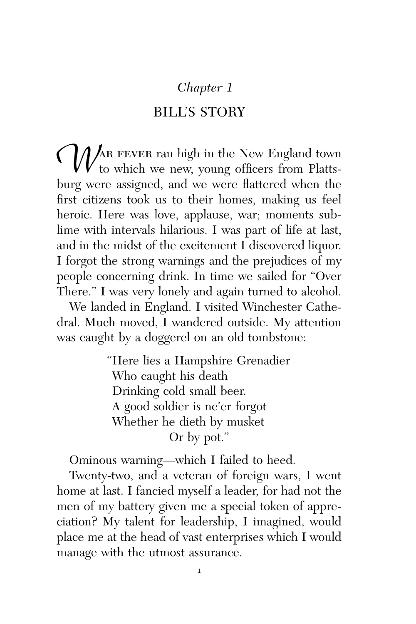# *Chapter 1*

## BILL'S STORY

WAR FEVER ran high in the New England town<br>to which we new, young officers from Plattsburg were assigned, and we were flattered when the first citizens took us to their homes, making us feel heroic. Here was love, applause, war; moments sublime with intervals hilarious. I was part of life at last, and in the midst of the excitement I discovered liquor. I forgot the strong warnings and the prejudices of my people concerning drink. In time we sailed for "Over There.'' I was very lonely and again turned to alcohol.

We landed in England. I visited Winchester Cathedral. Much moved, I wandered outside. My attention was caught by a doggerel on an old tombstone:

> "Here lies a Hampshire Grenadier Who caught his death Drinking cold small beer. A good soldier is ne'er forgot Whether he dieth by musket Or by pot."

Ominous warning—which I failed to heed.

Twenty-two, and a veteran of foreign wars, I went home at last. I fancied myself a leader, for had not the men of my battery given me a special token of appreciation? My talent for leadership, I imagined, would place me at the head of vast enterprises which I would manage with the utmost assurance.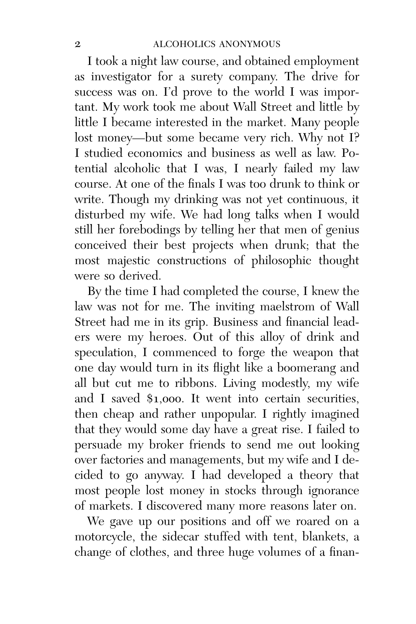I took a night law course, and obtained employment as investigator for a surety company. The drive for success was on. I'd prove to the world I was important. My work took me about Wall Street and little by little I became interested in the market. Many people lost money—but some became very rich. Why not I? I studied economics and business as well as law. Potential alcoholic that I was, I nearly failed my law course. At one of the finals I was too drunk to think or write. Though my drinking was not yet continuous, it disturbed my wife. We had long talks when I would still her forebodings by telling her that men of genius conceived their best projects when drunk; that the most majestic constructions of philosophic thought were so derived.

By the time I had completed the course, I knew the law was not for me. The inviting maelstrom of Wall Street had me in its grip. Business and financial leaders were my heroes. Out of this alloy of drink and speculation, I commenced to forge the weapon that one day would turn in its flight like a boomerang and all but cut me to ribbons. Living modestly, my wife and I saved \$1,000. It went into certain securities, then cheap and rather unpopular. I rightly imagined that they would some day have a great rise. I failed to persuade my broker friends to send me out looking over factories and managements, but my wife and I decided to go anyway. I had developed a theory that most people lost money in stocks through ignorance of markets. I discovered many more reasons later on.

We gave up our positions and off we roared on a motorcycle, the sidecar stuffed with tent, blankets, a change of clothes, and three huge volumes of a finan-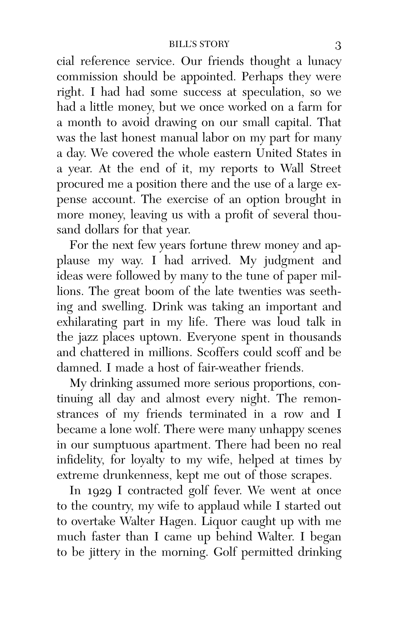cial reference service. Our friends thought a lunacy commission should be appointed. Perhaps they were right. I had had some success at speculation, so we had a little money, but we once worked on a farm for a month to avoid drawing on our small capital. That was the last honest manual labor on my part for many a day. We covered the whole eastern United States in a year. At the end of it, my reports to Wall Street procured me a position there and the use of a large expense account. The exercise of an option brought in more money, leaving us with a profit of several thousand dollars for that year.

For the next few years fortune threw money and applause my way. I had arrived. My judgment and ideas were followed by many to the tune of paper millions. The great boom of the late twenties was seething and swelling. Drink was taking an important and exhilarating part in my life. There was loud talk in the jazz places uptown. Everyone spent in thousands and chattered in millions. Scoffers could scoff and be damned. I made a host of fair-weather friends.

My drinking assumed more serious proportions, continuing all day and almost every night. The remonstrances of my friends terminated in a row and I became a lone wolf. There were many unhappy scenes in our sumptuous apartment. There had been no real infidelity, for loyalty to my wife, helped at times by extreme drunkenness, kept me out of those scrapes.

In 1929 I contracted golf fever. We went at once to the country, my wife to applaud while I started out to overtake Walter Hagen. Liquor caught up with me much faster than I came up behind Walter. I began to be jittery in the morning. Golf permitted drinking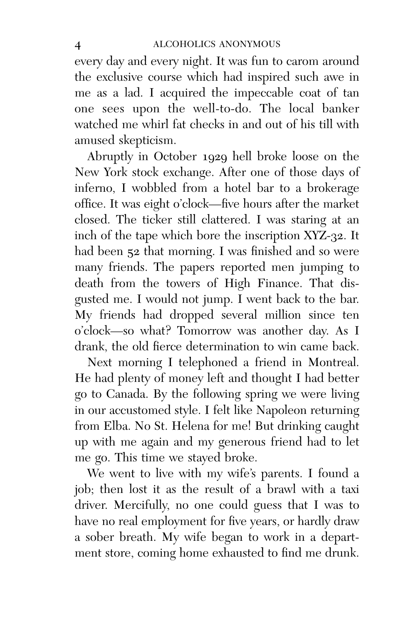every day and every night. It was fun to carom around the exclusive course which had inspired such awe in me as a lad. I acquired the impeccable coat of tan one sees upon the well-to-do. The local banker watched me whirl fat checks in and out of his till with amused skepticism.

Abruptly in October 1929 hell broke loose on the New York stock exchange. After one of those days of inferno, I wobbled from a hotel bar to a brokerage office. It was eight o'clock—five hours after the market closed. The ticker still clattered. I was staring at an inch of the tape which bore the inscription XYZ-32. It had been 52 that morning. I was finished and so were many friends. The papers reported men jumping to death from the towers of High Finance. That disgusted me. I would not jump. I went back to the bar. My friends had dropped several million since ten o'clock—so what? Tomorrow was another day. As I drank, the old fierce determination to win came back.

Next morning I telephoned a friend in Montreal. He had plenty of money left and thought I had better go to Canada. By the following spring we were living in our accustomed style. I felt like Napoleon returning from Elba. No St. Helena for me! But drinking caught up with me again and my generous friend had to let me go. This time we stayed broke.

We went to live with my wife's parents. I found a job; then lost it as the result of a brawl with a taxi driver. Mercifully, no one could guess that I was to have no real employment for five years, or hardly draw a sober breath. My wife began to work in a department store, coming home exhausted to find me drunk.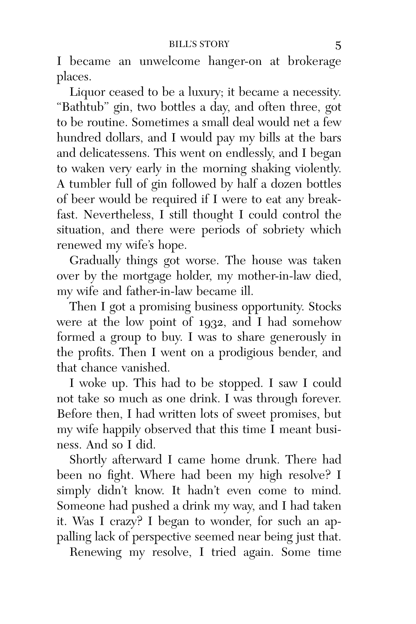I became an unwelcome hanger-on at brokerage places.

Liquor ceased to be a luxury; it became a necessity. "Bathtub'' gin, two bottles a day, and often three, got to be routine. Sometimes a small deal would net a few hundred dollars, and I would pay my bills at the bars and delicatessens. This went on endlessly, and I began to waken very early in the morning shaking violently. A tumbler full of gin followed by half a dozen bottles of beer would be required if I were to eat any breakfast. Nevertheless, I still thought I could control the situation, and there were periods of sobriety which renewed my wife's hope.

Gradually things got worse. The house was taken over by the mortgage holder, my mother-in-law died, my wife and father-in-law became ill.

Then I got a promising business opportunity. Stocks were at the low point of 1932, and I had somehow formed a group to buy. I was to share generously in the profits. Then I went on a prodigious bender, and that chance vanished.

I woke up. This had to be stopped. I saw I could not take so much as one drink. I was through forever. Before then, I had written lots of sweet promises, but my wife happily observed that this time I meant business. And so I did.

Shortly afterward I came home drunk. There had been no fight. Where had been my high resolve? I simply didn't know. It hadn't even come to mind. Someone had pushed a drink my way, and I had taken it. Was I crazy? I began to wonder, for such an appalling lack of perspective seemed near being just that.

Renewing my resolve, I tried again. Some time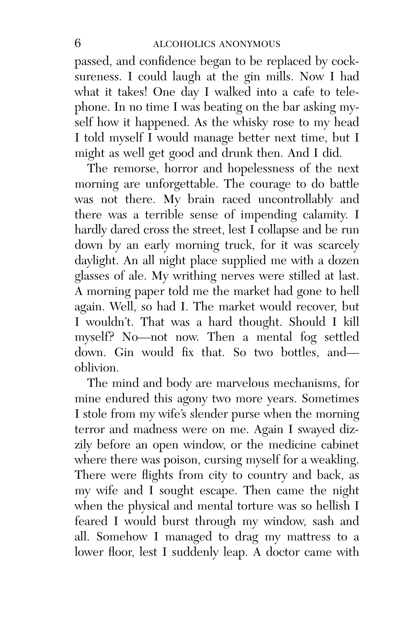passed, and confidence began to be replaced by cocksureness. I could laugh at the gin mills. Now I had what it takes! One day I walked into a cafe to telephone. In no time I was beating on the bar asking myself how it happened. As the whisky rose to my head I told myself I would manage better next time, but I might as well get good and drunk then. And I did.

The remorse, horror and hopelessness of the next morning are unforgettable. The courage to do battle was not there. My brain raced uncontrollably and there was a terrible sense of impending calamity. I hardly dared cross the street, lest I collapse and be run down by an early morning truck, for it was scarcely daylight. An all night place supplied me with a dozen glasses of ale. My writhing nerves were stilled at last. A morning paper told me the market had gone to hell again. Well, so had I. The market would recover, but I wouldn't. That was a hard thought. Should I kill myself? No—not now. Then a mental fog settled down. Gin would fix that. So two bottles, and oblivion.

The mind and body are marvelous mechanisms, for mine endured this agony two more years. Sometimes I stole from my wife's slender purse when the morning terror and madness were on me. Again I swayed dizzily before an open window, or the medicine cabinet where there was poison, cursing myself for a weakling. There were flights from city to country and back, as my wife and I sought escape. Then came the night when the physical and mental torture was so hellish I feared I would burst through my window, sash and all. Somehow I managed to drag my mattress to a lower floor, lest I suddenly leap. A doctor came with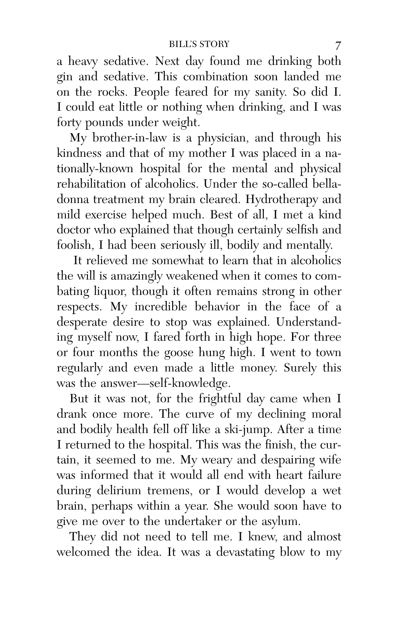a heavy sedative. Next day found me drinking both gin and sedative. This combination soon landed me on the rocks. People feared for my sanity. So did I. I could eat little or nothing when drinking, and I was forty pounds under weight.

My brother-in-law is a physician, and through his kindness and that of my mother I was placed in a nationally-known hospital for the mental and physical rehabilitation of alcoholics. Under the so-called belladonna treatment my brain cleared. Hydrotherapy and mild exercise helped much. Best of all, I met a kind doctor who explained that though certainly selfish and foolish, I had been seriously ill, bodily and mentally.

It relieved me somewhat to learn that in alcoholics the will is amazingly weakened when it comes to combating liquor, though it often remains strong in other respects. My incredible behavior in the face of a desperate desire to stop was explained. Understanding myself now, I fared forth in high hope. For three or four months the goose hung high. I went to town regularly and even made a little money. Surely this was the answer—self-knowledge.

But it was not, for the frightful day came when I drank once more. The curve of my declining moral and bodily health fell off like a ski-jump. After a time I returned to the hospital. This was the finish, the curtain, it seemed to me. My weary and despairing wife was informed that it would all end with heart failure during delirium tremens, or I would develop a wet brain, perhaps within a year. She would soon have to give me over to the undertaker or the asylum.

They did not need to tell me. I knew, and almost welcomed the idea. It was a devastating blow to my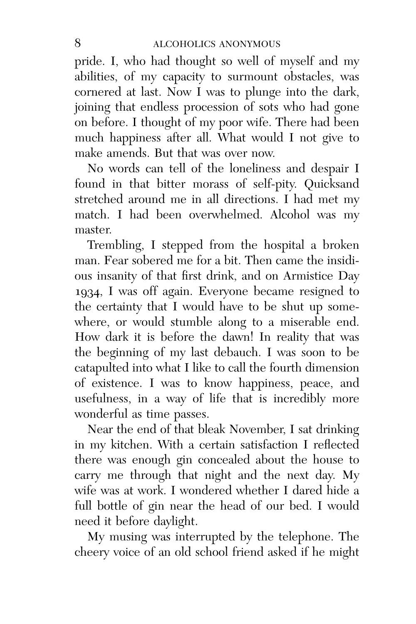pride. I, who had thought so well of myself and my abilities, of my capacity to surmount obstacles, was cornered at last. Now I was to plunge into the dark, joining that endless procession of sots who had gone on before. I thought of my poor wife. There had been much happiness after all. What would I not give to make amends. But that was over now.

No words can tell of the loneliness and despair I found in that bitter morass of self-pity. Quicksand stretched around me in all directions. I had met my match. I had been overwhelmed. Alcohol was my master.

Trembling, I stepped from the hospital a broken man. Fear sobered me for a bit. Then came the insidious insanity of that first drink, and on Armistice Day 1934, I was off again. Everyone became resigned to the certainty that I would have to be shut up somewhere, or would stumble along to a miserable end. How dark it is before the dawn! In reality that was the beginning of my last debauch. I was soon to be catapulted into what I like to call the fourth dimension of existence. I was to know happiness, peace, and usefulness, in a way of life that is incredibly more wonderful as time passes.

Near the end of that bleak November, I sat drinking in my kitchen. With a certain satisfaction I reflected there was enough gin concealed about the house to carry me through that night and the next day. My wife was at work. I wondered whether I dared hide a full bottle of gin near the head of our bed. I would need it before daylight.

My musing was interrupted by the telephone. The cheery voice of an old school friend asked if he might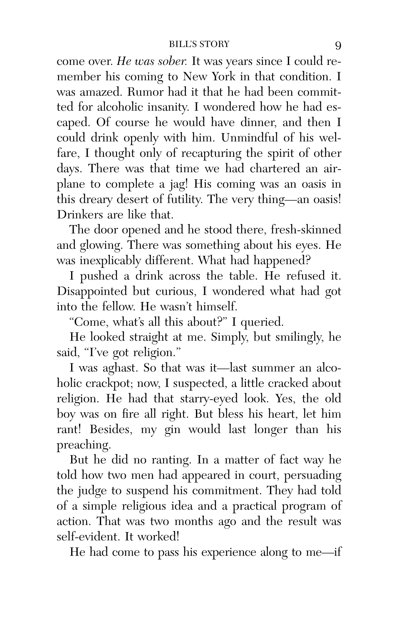### BILL'S STORY 9

come over. *He was sober.* It was years since I could remember his coming to New York in that condition. I was amazed. Rumor had it that he had been committed for alcoholic insanity. I wondered how he had escaped. Of course he would have dinner, and then I could drink openly with him. Unmindful of his welfare, I thought only of recapturing the spirit of other days. There was that time we had chartered an airplane to complete a jag! His coming was an oasis in this dreary desert of futility. The very thing—an oasis! Drinkers are like that.

The door opened and he stood there, fresh-skinned and glowing. There was something about his eyes. He was inexplicably different. What had happened?

I pushed a drink across the table. He refused it. Disappointed but curious, I wondered what had got into the fellow. He wasn't himself.

"Come, what's all this about?'' I queried.

He looked straight at me. Simply, but smilingly, he said, "I've got religion.''

I was aghast. So that was it—last summer an alcoholic crackpot; now, I suspected, a little cracked about religion. He had that starry-eyed look. Yes, the old boy was on fire all right. But bless his heart, let him rant! Besides, my gin would last longer than his preaching.

But he did no ranting. In a matter of fact way he told how two men had appeared in court, persuading the judge to suspend his commitment. They had told of a simple religious idea and a practical program of action. That was two months ago and the result was self-evident. It worked!

He had come to pass his experience along to me—if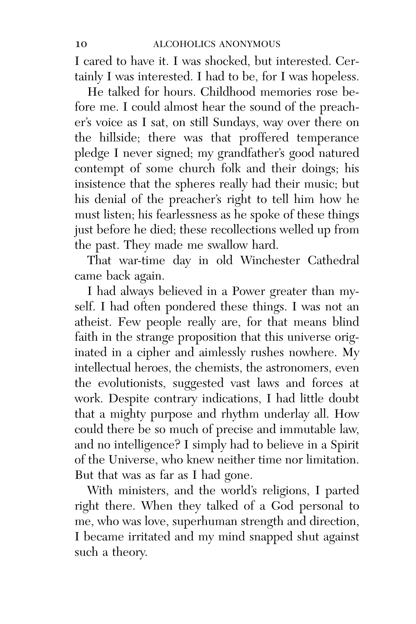I cared to have it. I was shocked, but interested. Certainly I was interested. I had to be, for I was hopeless.

He talked for hours. Childhood memories rose before me. I could almost hear the sound of the preacher's voice as I sat, on still Sundays, way over there on the hillside; there was that proffered temperance pledge I never signed; my grandfather's good natured contempt of some church folk and their doings; his insistence that the spheres really had their music; but his denial of the preacher's right to tell him how he must listen; his fearlessness as he spoke of these things just before he died; these recollections welled up from the past. They made me swallow hard.

That war-time day in old Winchester Cathedral came back again.

I had always believed in a Power greater than myself. I had often pondered these things. I was not an atheist. Few people really are, for that means blind faith in the strange proposition that this universe originated in a cipher and aimlessly rushes nowhere. My intellectual heroes, the chemists, the astronomers, even the evolutionists, suggested vast laws and forces at work. Despite contrary indications, I had little doubt that a mighty purpose and rhythm underlay all. How could there be so much of precise and immutable law, and no intelligence? I simply had to believe in a Spirit of the Universe, who knew neither time nor limitation. But that was as far as I had gone.

With ministers, and the world's religions, I parted right there. When they talked of a God personal to me, who was love, superhuman strength and direction, I became irritated and my mind snapped shut against such a theory.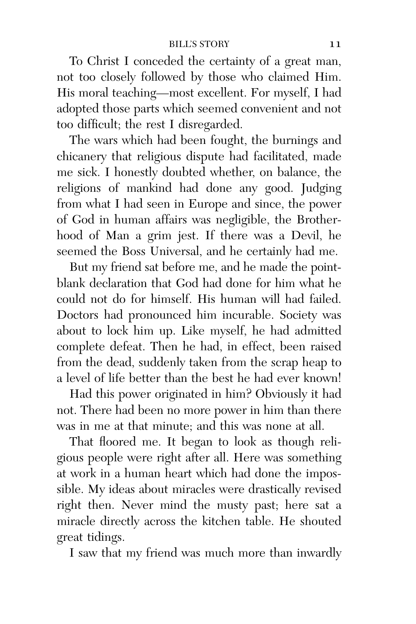### BILL'S STORY 11

To Christ I conceded the certainty of a great man, not too closely followed by those who claimed Him. His moral teaching—most excellent. For myself, I had adopted those parts which seemed convenient and not too difficult; the rest I disregarded.

The wars which had been fought, the burnings and chicanery that religious dispute had facilitated, made me sick. I honestly doubted whether, on balance, the religions of mankind had done any good. Judging from what I had seen in Europe and since, the power of God in human affairs was negligible, the Brotherhood of Man a grim jest. If there was a Devil, he seemed the Boss Universal, and he certainly had me.

But my friend sat before me, and he made the pointblank declaration that God had done for him what he could not do for himself. His human will had failed. Doctors had pronounced him incurable. Society was about to lock him up. Like myself, he had admitted complete defeat. Then he had, in effect, been raised from the dead, suddenly taken from the scrap heap to a level of life better than the best he had ever known!

Had this power originated in him? Obviously it had not. There had been no more power in him than there was in me at that minute; and this was none at all.

That floored me. It began to look as though religious people were right after all. Here was something at work in a human heart which had done the impossible. My ideas about miracles were drastically revised right then. Never mind the musty past; here sat a miracle directly across the kitchen table. He shouted great tidings.

I saw that my friend was much more than inwardly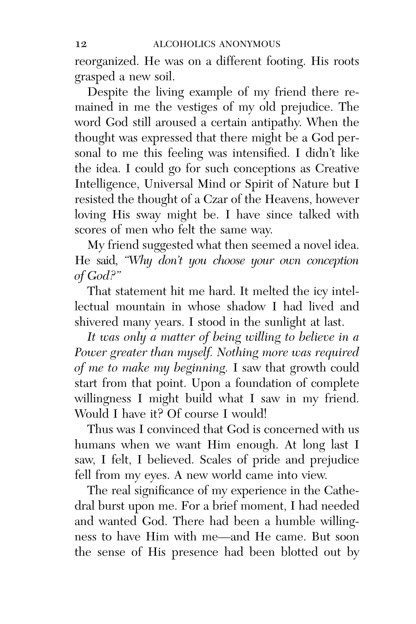reorganized. He was on a different footing. His roots grasped a new soil.

Despite the living example of my friend there remained in me the vestiges of my old prejudice. The word God still aroused a certain antipathy. When the thought was expressed that there might be a God personal to me this feeling was intensified. I didn't like the idea. I could go for such conceptions as Creative Intelligence, Universal Mind or Spirit of Nature but I resisted the thought of a Czar of the Heavens, however loving His sway might be. I have since talked with scores of men who felt the same way.

My friend suggested what then seemed a novel idea. He said, *"Why don't you choose your own conception of God?''*

That statement hit me hard. It melted the icy intellectual mountain in whose shadow I had lived and shivered many years. I stood in the sunlight at last.

*It was only a matter of being willing to believe in a Power greater than myself. Nothing more was required of me to make my beginning.* I saw that growth could start from that point. Upon a foundation of complete willingness I might build what I saw in my friend. Would I have it? Of course I would!

Thus was I convinced that God is concerned with us humans when we want Him enough. At long last I saw, I felt, I believed. Scales of pride and prejudice fell from my eyes. A new world came into view.

The real significance of my experience in the Cathedral burst upon me. For a brief moment, I had needed and wanted God. There had been a humble willingness to have Him with me—and He came. But soon the sense of His presence had been blotted out by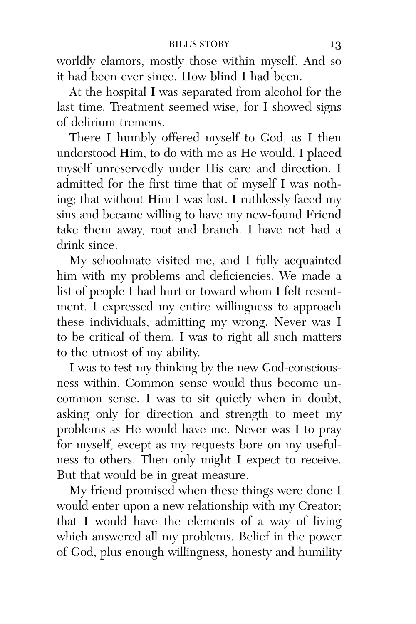worldly clamors, mostly those within myself. And so it had been ever since. How blind I had been.

At the hospital I was separated from alcohol for the last time. Treatment seemed wise, for I showed signs of delirium tremens.

There I humbly offered myself to God, as I then understood Him, to do with me as He would. I placed myself unreservedly under His care and direction. I admitted for the first time that of myself I was nothing; that without Him I was lost. I ruthlessly faced my sins and became willing to have my new-found Friend take them away, root and branch. I have not had a drink since.

My schoolmate visited me, and I fully acquainted him with my problems and deficiencies. We made a list of people I had hurt or toward whom I felt resentment. I expressed my entire willingness to approach these individuals, admitting my wrong. Never was I to be critical of them. I was to right all such matters to the utmost of my ability.

I was to test my thinking by the new God-consciousness within. Common sense would thus become uncommon sense. I was to sit quietly when in doubt, asking only for direction and strength to meet my problems as He would have me. Never was I to pray for myself, except as my requests bore on my usefulness to others. Then only might I expect to receive. But that would be in great measure.

My friend promised when these things were done I would enter upon a new relationship with my Creator; that I would have the elements of a way of living which answered all my problems. Belief in the power of God, plus enough willingness, honesty and humility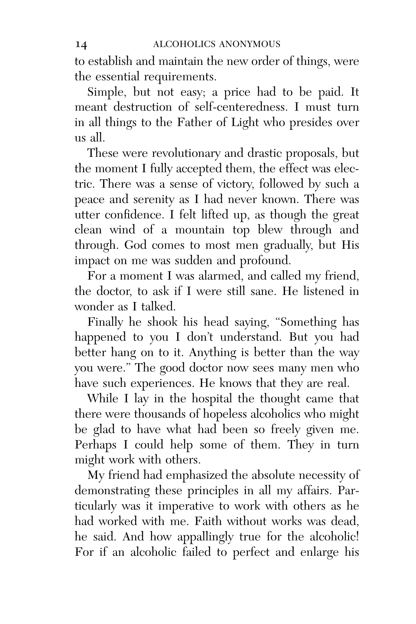to establish and maintain the new order of things, were the essential requirements.

Simple, but not easy; a price had to be paid. It meant destruction of self-centeredness. I must turn in all things to the Father of Light who presides over us all.

These were revolutionary and drastic proposals, but the moment I fully accepted them, the effect was electric. There was a sense of victory, followed by such a peace and serenity as I had never known. There was utter confidence. I felt lifted up, as though the great clean wind of a mountain top blew through and through. God comes to most men gradually, but His impact on me was sudden and profound.

For a moment I was alarmed, and called my friend, the doctor, to ask if I were still sane. He listened in wonder as I talked.

Finally he shook his head saying, "Something has happened to you I don't understand. But you had better hang on to it. Anything is better than the way you were." The good doctor now sees many men who have such experiences. He knows that they are real.

While I lay in the hospital the thought came that there were thousands of hopeless alcoholics who might be glad to have what had been so freely given me. Perhaps I could help some of them. They in turn might work with others.

My friend had emphasized the absolute necessity of demonstrating these principles in all my affairs. Particularly was it imperative to work with others as he had worked with me. Faith without works was dead, he said. And how appallingly true for the alcoholic! For if an alcoholic failed to perfect and enlarge his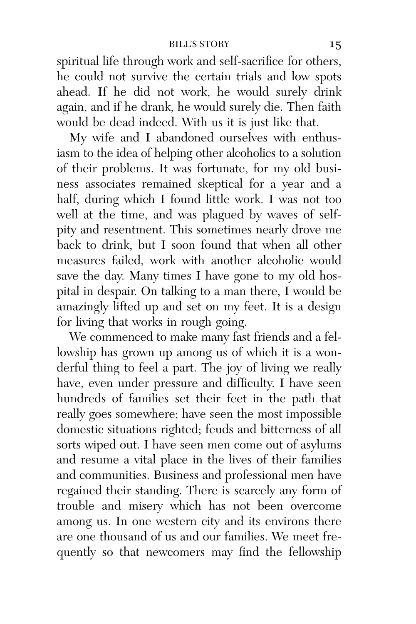#### BILL'S STORY 15

spiritual life through work and self-sacrifice for others, he could not survive the certain trials and low spots ahead. If he did not work, he would surely drink again, and if he drank, he would surely die. Then faith would be dead indeed. With us it is just like that.

My wife and I abandoned ourselves with enthusiasm to the idea of helping other alcoholics to a solution of their problems. It was fortunate, for my old business associates remained skeptical for a year and a half, during which I found little work. I was not too well at the time, and was plagued by waves of selfpity and resentment. This sometimes nearly drove me back to drink, but I soon found that when all other measures failed, work with another alcoholic would save the day. Many times I have gone to my old hospital in despair. On talking to a man there, I would be amazingly lifted up and set on my feet. It is a design for living that works in rough going.

We commenced to make many fast friends and a fellowship has grown up among us of which it is a wonderful thing to feel a part. The joy of living we really have, even under pressure and difficulty. I have seen hundreds of families set their feet in the path that really goes somewhere; have seen the most impossible domestic situations righted; feuds and bitterness of all sorts wiped out. I have seen men come out of asylums and resume a vital place in the lives of their families and communities. Business and professional men have regained their standing. There is scarcely any form of trouble and misery which has not been overcome among us. In one western city and its environs there are one thousand of us and our families. We meet frequently so that newcomers may find the fellowship